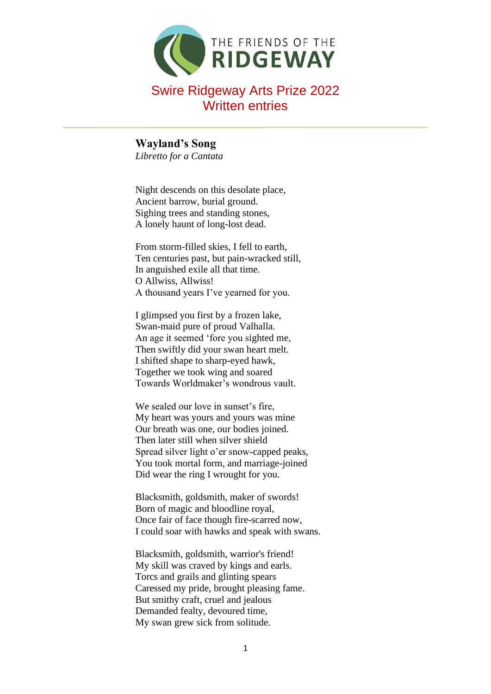

**Wayland's Song** *Libretto for a Cantata*

Night descends on this desolate place, Ancient barrow, burial ground. Sighing trees and standing stones, A lonely haunt of long-lost dead.

From storm-filled skies, I fell to earth, Ten centuries past, but pain-wracked still, In anguished exile all that time. O Allwiss, Allwiss! A thousand years I've yearned for you.

I glimpsed you first by a frozen lake, Swan-maid pure of proud Valhalla. An age it seemed 'fore you sighted me, Then swiftly did your swan heart melt. I shifted shape to sharp-eyed hawk, Together we took wing and soared Towards Worldmaker's wondrous vault.

We sealed our love in sunset's fire, My heart was yours and yours was mine Our breath was one, our bodies joined. Then later still when silver shield Spread silver light o'er snow-capped peaks, You took mortal form, and marriage-joined Did wear the ring I wrought for you.

Blacksmith, goldsmith, maker of swords! Born of magic and bloodline royal, Once fair of face though fire-scarred now, I could soar with hawks and speak with swans.

Blacksmith, goldsmith, warrior's friend! My skill was craved by kings and earls. Torcs and grails and glinting spears Caressed my pride, brought pleasing fame. But smithy craft, cruel and jealous Demanded fealty, devoured time, My swan grew sick from solitude.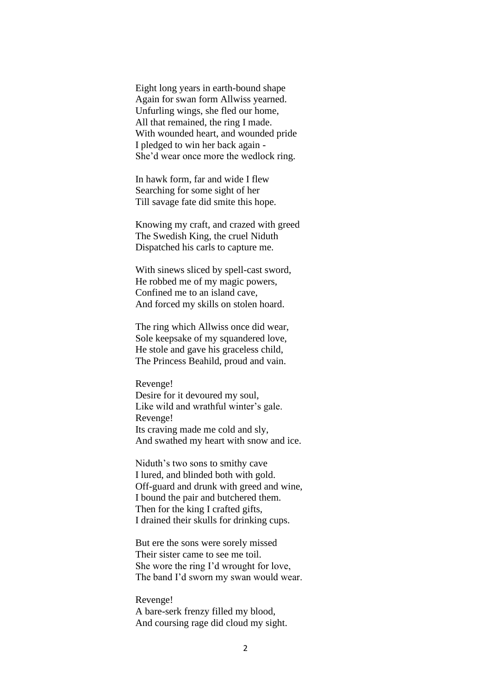Eight long years in earth-bound shape Again for swan form Allwiss yearned. Unfurling wings, she fled our home, All that remained, the ring I made. With wounded heart, and wounded pride I pledged to win her back again - She'd wear once more the wedlock ring.

In hawk form, far and wide I flew Searching for some sight of her Till savage fate did smite this hope.

Knowing my craft, and crazed with greed The Swedish King, the cruel Niduth Dispatched his carls to capture me.

With sinews sliced by spell-cast sword, He robbed me of my magic powers, Confined me to an island cave, And forced my skills on stolen hoard.

The ring which Allwiss once did wear, Sole keepsake of my squandered love, He stole and gave his graceless child, The Princess Beahild, proud and vain.

Revenge! Desire for it devoured my soul, Like wild and wrathful winter's gale. Revenge! Its craving made me cold and sly, And swathed my heart with snow and ice.

Niduth's two sons to smithy cave I lured, and blinded both with gold. Off-guard and drunk with greed and wine, I bound the pair and butchered them. Then for the king I crafted gifts, I drained their skulls for drinking cups.

But ere the sons were sorely missed Their sister came to see me toil. She wore the ring I'd wrought for love, The band I'd sworn my swan would wear.

Revenge! A bare-serk frenzy filled my blood, And coursing rage did cloud my sight.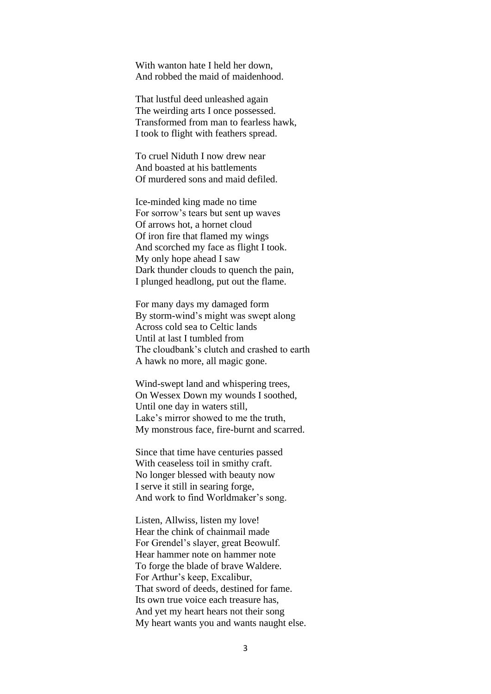With wanton hate I held her down, And robbed the maid of maidenhood.

That lustful deed unleashed again The weirding arts I once possessed. Transformed from man to fearless hawk, I took to flight with feathers spread.

To cruel Niduth I now drew near And boasted at his battlements Of murdered sons and maid defiled.

Ice-minded king made no time For sorrow's tears but sent up waves Of arrows hot, a hornet cloud Of iron fire that flamed my wings And scorched my face as flight I took. My only hope ahead I saw Dark thunder clouds to quench the pain, I plunged headlong, put out the flame.

For many days my damaged form By storm-wind's might was swept along Across cold sea to Celtic lands Until at last I tumbled from The cloudbank's clutch and crashed to earth A hawk no more, all magic gone.

Wind-swept land and whispering trees, On Wessex Down my wounds I soothed, Until one day in waters still, Lake's mirror showed to me the truth, My monstrous face, fire-burnt and scarred.

Since that time have centuries passed With ceaseless toil in smithy craft. No longer blessed with beauty now I serve it still in searing forge, And work to find Worldmaker's song.

Listen, Allwiss, listen my love! Hear the chink of chainmail made For Grendel's slayer, great Beowulf. Hear hammer note on hammer note To forge the blade of brave Waldere. For Arthur's keep, Excalibur, That sword of deeds, destined for fame. Its own true voice each treasure has, And yet my heart hears not their song My heart wants you and wants naught else.